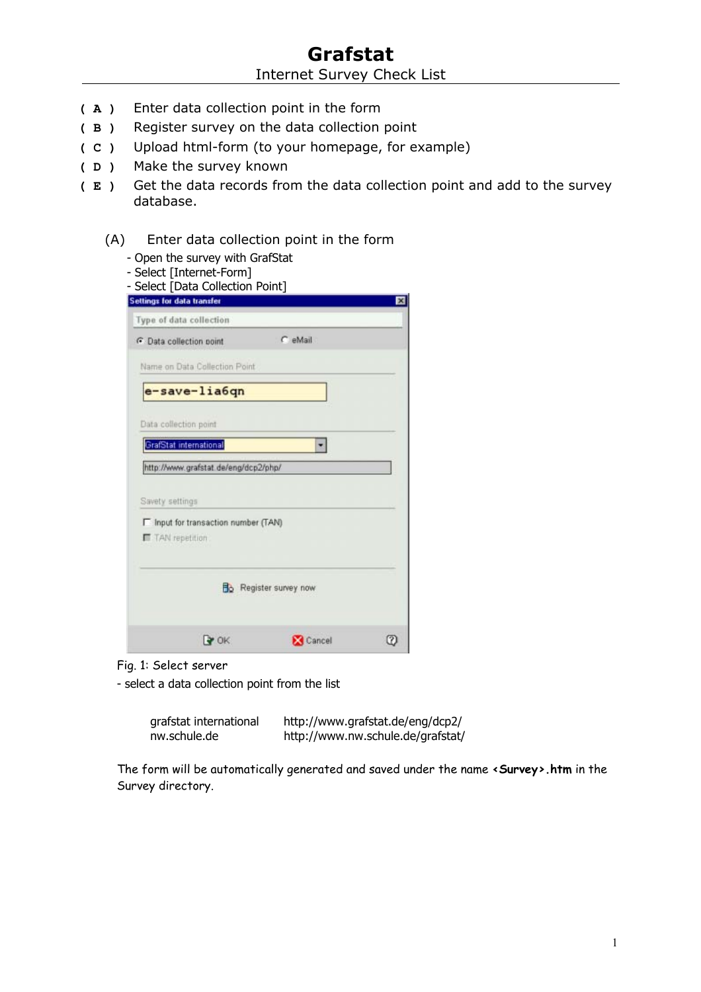- **( A )** Enter data collection point in the form
- **( B )** Register survey on the data collection point
- **( C )** Upload html-form (to your homepage, for example)
- **( D )** Make the survey known
- **( E )** Get the data records from the data collection point and add to the survey database.
	- (A) Enter data collection point in the form
		- Open the survey with GrafStat
		- Select [Internet-Form]

| <b>Settings for data transfer</b>                        |                        |  |
|----------------------------------------------------------|------------------------|--|
| Type of data collection                                  |                        |  |
| <b>C</b> Data collection point                           | C eMail                |  |
| Name on Data Collection Point                            |                        |  |
| e-save-lia6qn                                            |                        |  |
| Data collection point                                    |                        |  |
| GrafStat international                                   |                        |  |
| http://www.grafstat.de/eng/dcp2/php/                     |                        |  |
| Savety settings                                          |                        |  |
|                                                          |                        |  |
| F Input for transaction number (TAN)<br>T TAN repetition |                        |  |
|                                                          | Bo Register survey now |  |

Fig. 1: Select server

- select a data collection point from the list

| grafstat international | http://www.grafstat.de/eng/dcp2/  |
|------------------------|-----------------------------------|
| nw.schule.de           | http://www.nw.schule.de/grafstat/ |

The form will be automatically generated and saved under the name **<Survey>.htm** in the Survey directory.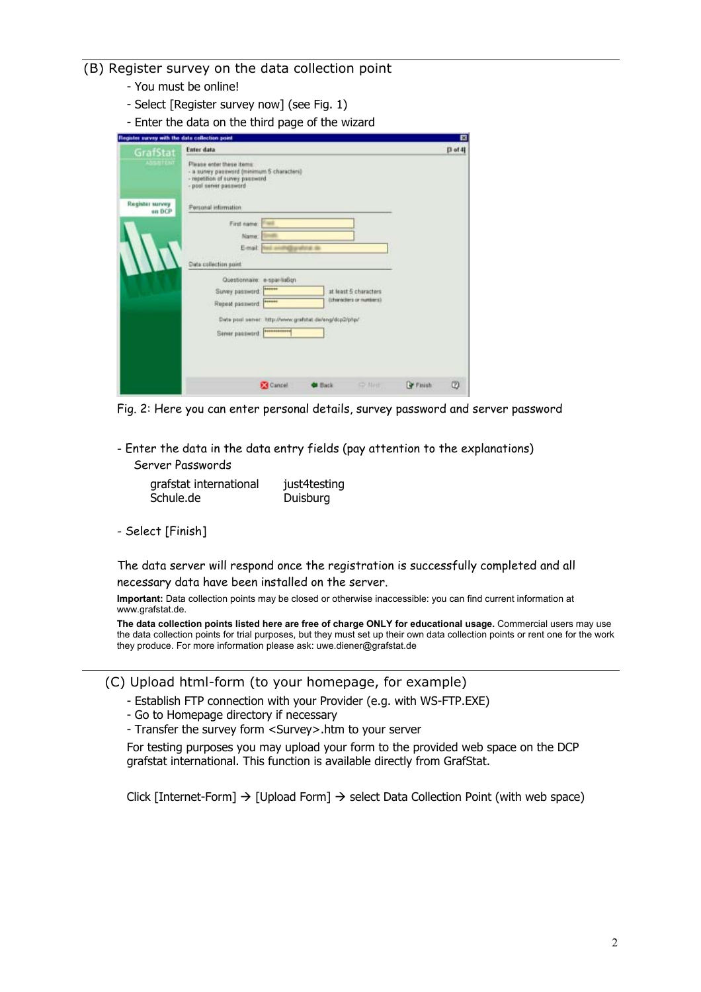## (B) Register survey on the data collection point

- You must be online!
- Select [Register survey now] (see Fig. 1)
- Enter the data on the third page of the wizard

| Register survey with the data collection point |                                                                                                                                                                                                                                              |        | $\blacksquare$ |
|------------------------------------------------|----------------------------------------------------------------------------------------------------------------------------------------------------------------------------------------------------------------------------------------------|--------|----------------|
| GrafStat<br><b>ASSISTENT</b>                   | <b>Enter data</b><br>Please enter these items:<br>- a survey password (minimum 5 characters)<br>- repetition of survey password<br>- pool server password                                                                                    |        | [3ot4]         |
| Register survey<br>on DCP                      | Personal information<br>First name:<br>Name:<br>Email<br>rath@grafold_da<br>Data collection point                                                                                                                                            |        |                |
|                                                | Questionnaire: e-spar-liaBon<br>******<br>Survey password:<br>at least 5 characters<br>Ochstrackers or numbers).<br>100901<br>Repeat password.<br>Data post server: http://www.grafstat.de/eng/dcp2/php/<br>101010101010<br>Server password: |        |                |
|                                                | <b>EX</b> Cancel<br><b>CD Next</b><br><b>Back</b>                                                                                                                                                                                            | Finish | Ø              |

Fig. 2: Here you can enter personal details, survey password and server password

- Enter the data in the data entry fields (pay attention to the explanations) Server Passwords

| grafstat international | just4testing |
|------------------------|--------------|
| Schule.de              | Duisburg     |

- Select [Finish]

The data server will respond once the registration is successfully completed and all necessary data have been installed on the server.

**Important:** Data collection points may be closed or otherwise inaccessible: you can find current information at www.grafstat.de.

**The data collection points listed here are free of charge ONLY for educational usage.** Commercial users may use the data collection points for trial purposes, but they must set up their own data collection points or rent one for the work they produce. For more information please ask: uwe.diener@grafstat.de

(C) Upload html-form (to your homepage, for example)

- Establish FTP connection with your Provider (e.g. with WS-FTP.EXE)
- Go to Homepage directory if necessary
- Transfer the survey form <Survey>.htm to your server

For testing purposes you may upload your form to the provided web space on the DCP grafstat international. This function is available directly from GrafStat.

Click [Internet-Form]  $\rightarrow$  [Upload Form]  $\rightarrow$  select Data Collection Point (with web space)